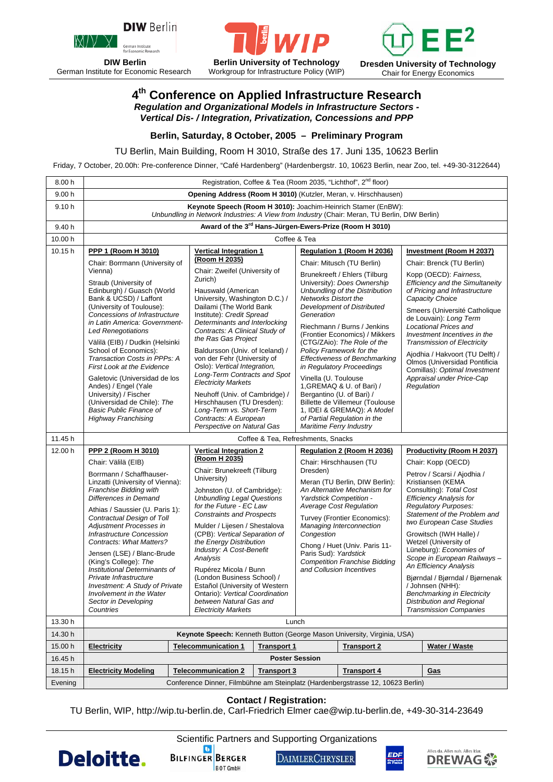

ir Dos **DIW Berlin**  German Institute for Economic Research



**Berlin University of Technology** Workgroup for Infrastructure Policy (WIP)



# **4th Conference on Applied Infrastructure Research**  *Regulation and Organizational Models in Infrastructure Sectors - Vertical Dis- / Integration, Privatization, Concessions and PPP*

# **Berlin, Saturday, 8 October, 2005 – Preliminary Program**

TU Berlin, Main Building, Room H 3010, Straße des 17. Juni 135, 10623 Berlin

Friday, 7 October, 20.00h: Pre-conference Dinner, "Café Hardenberg" (Hardenbergstr. 10, 10623 Berlin, near Zoo, tel. +49-30-3122644)

| 8.00 h             | Registration, Coffee & Tea (Room 2035, "Lichthof", 2 <sup>nd</sup> floor)                                                                                                                                                                                                                                                                                                                                                                                                                                                                       |                                                                                                                                                                                                                                                                                                                                                                                                                                                                                                                             |                                                                                                                                                                                                                                                                                                                                                                                                                 |                                                                                                                                                                                                                                                                                                                                                                                                                                                                                                                                         |  |  |  |  |
|--------------------|-------------------------------------------------------------------------------------------------------------------------------------------------------------------------------------------------------------------------------------------------------------------------------------------------------------------------------------------------------------------------------------------------------------------------------------------------------------------------------------------------------------------------------------------------|-----------------------------------------------------------------------------------------------------------------------------------------------------------------------------------------------------------------------------------------------------------------------------------------------------------------------------------------------------------------------------------------------------------------------------------------------------------------------------------------------------------------------------|-----------------------------------------------------------------------------------------------------------------------------------------------------------------------------------------------------------------------------------------------------------------------------------------------------------------------------------------------------------------------------------------------------------------|-----------------------------------------------------------------------------------------------------------------------------------------------------------------------------------------------------------------------------------------------------------------------------------------------------------------------------------------------------------------------------------------------------------------------------------------------------------------------------------------------------------------------------------------|--|--|--|--|
| 9.00h              | Opening Address (Room H 3010) (Kutzler, Meran, v. Hirschhausen)                                                                                                                                                                                                                                                                                                                                                                                                                                                                                 |                                                                                                                                                                                                                                                                                                                                                                                                                                                                                                                             |                                                                                                                                                                                                                                                                                                                                                                                                                 |                                                                                                                                                                                                                                                                                                                                                                                                                                                                                                                                         |  |  |  |  |
| 9.10h              | Keynote Speech (Room H 3010): Joachim-Heinrich Stamer (EnBW):<br>Unbundling in Network Industries: A View from Industry (Chair: Meran, TU Berlin, DIW Berlin)                                                                                                                                                                                                                                                                                                                                                                                   |                                                                                                                                                                                                                                                                                                                                                                                                                                                                                                                             |                                                                                                                                                                                                                                                                                                                                                                                                                 |                                                                                                                                                                                                                                                                                                                                                                                                                                                                                                                                         |  |  |  |  |
| 9.40 h             | Award of the 3rd Hans-Jürgen-Ewers-Prize (Room H 3010)                                                                                                                                                                                                                                                                                                                                                                                                                                                                                          |                                                                                                                                                                                                                                                                                                                                                                                                                                                                                                                             |                                                                                                                                                                                                                                                                                                                                                                                                                 |                                                                                                                                                                                                                                                                                                                                                                                                                                                                                                                                         |  |  |  |  |
| 10.00 h            | Coffee & Tea                                                                                                                                                                                                                                                                                                                                                                                                                                                                                                                                    |                                                                                                                                                                                                                                                                                                                                                                                                                                                                                                                             |                                                                                                                                                                                                                                                                                                                                                                                                                 |                                                                                                                                                                                                                                                                                                                                                                                                                                                                                                                                         |  |  |  |  |
| 10.15h             | PPP 1 (Room H 3010)<br>Chair: Borrmann (University of<br>Vienna)<br>Straub (University of<br>Edinburgh) / Guasch (World<br>Bank & UCSD) / Laffont<br>(University of Toulouse):<br>Concessions of Infrastructure<br>in Latin America: Government-<br><b>Led Renegotiations</b><br>Välilä (EIB) / Dudkin (Helsinki<br>School of Economics):                                                                                                                                                                                                       | <b>Vertical Integration 1</b><br>(Room H 2035)<br>Chair: Zweifel (University of<br>Zurich)<br>Hauswald (American<br>University, Washington D.C.) /<br>Dailami (The World Bank<br>Institute): Credit Spread<br>Determinants and Interlocking<br>Contracts: A Clinical Study of<br>the Ras Gas Project<br>Baldursson (Univ. of Iceland) /                                                                                                                                                                                     | Regulation 1 (Room H 2036)<br>Chair: Mitusch (TU Berlin)<br>Brunekreeft / Ehlers (Tilburg<br>University): Does Ownership<br>Unbundling of the Distribution<br><b>Networks Distort the</b><br>Development of Distributed<br>Generation<br>Riechmann / Burns / Jenkins<br>(Frontier Economics) / Mikkers<br>(CTG/ZAio): The Role of the<br>Policy Framework for the                                               | <b>Investment (Room H 2037)</b><br>Chair: Brenck (TU Berlin)<br>Kopp (OECD): Fairness,<br><b>Efficiency and the Simultaneity</b><br>of Pricing and Infrastructure<br>Capacity Choice<br>Smeers (Université Catholique<br>de Louvain): Long Term<br><b>Locational Prices and</b><br>Investment Incentives in the<br>Transmission of Electricity<br>Ajodhia / Hakvoort (TU Delft) /                                                                                                                                                       |  |  |  |  |
|                    | Transaction Costs in PPPs: A<br>First Look at the Evidence<br>Galetovic (Universidad de los<br>Andes) / Engel (Yale<br>University) / Fischer<br>(Universidad de Chile): The<br><b>Basic Public Finance of</b><br><b>Highway Franchising</b>                                                                                                                                                                                                                                                                                                     | von der Fehr (University of<br>Oslo): Vertical Integration,<br>Long-Term Contracts and Spot<br><b>Electricity Markets</b><br>Neuhoff (Univ. of Cambridge) /<br>Hirschhausen (TU Dresden):<br>Long-Term vs. Short-Term<br>Contracts: A European<br>Perspective on Natural Gas                                                                                                                                                                                                                                                | <b>Effectiveness of Benchmarking</b><br>in Regulatory Proceedings<br>Vinella (U. Toulouse<br>1, GREMAQ & U. of Bari) /<br>Bergantino (U. of Bari) /<br>Billette de Villemeur (Toulouse<br>1, IDEI & GREMAQ): A Model<br>of Partial Regulation in the<br>Maritime Ferry Industry                                                                                                                                 | Olmos (Universidad Pontificia<br>Comillas): Optimal Investment<br>Appraisal under Price-Cap<br>Regulation                                                                                                                                                                                                                                                                                                                                                                                                                               |  |  |  |  |
|                    |                                                                                                                                                                                                                                                                                                                                                                                                                                                                                                                                                 |                                                                                                                                                                                                                                                                                                                                                                                                                                                                                                                             |                                                                                                                                                                                                                                                                                                                                                                                                                 |                                                                                                                                                                                                                                                                                                                                                                                                                                                                                                                                         |  |  |  |  |
| 11.45 h            |                                                                                                                                                                                                                                                                                                                                                                                                                                                                                                                                                 |                                                                                                                                                                                                                                                                                                                                                                                                                                                                                                                             | Coffee & Tea, Refreshments, Snacks                                                                                                                                                                                                                                                                                                                                                                              |                                                                                                                                                                                                                                                                                                                                                                                                                                                                                                                                         |  |  |  |  |
| 12.00 h            | <b>PPP 2 (Room H 3010)</b><br>Chair: Välilä (EIB)<br>Borrmann / Schaffhauser-<br>Linzatti (University of Vienna):<br>Franchise Bidding with<br>Differences in Demand<br>Athias / Saussier (U. Paris 1):<br>Contractual Design of Toll<br>Adjustment Processes in<br><b>Infrastructure Concession</b><br><b>Contracts: What Matters?</b><br>Jensen (LSE) / Blanc-Brude<br>(King's College): The<br>Institutional Determinants of<br>Private Infrastructure<br>Investment: A Study of Private<br>Involvement in the Water<br>Sector in Developing | <b>Vertical Integration 2</b><br>(Room H 2035)<br>Chair: Brunekreeft (Tilburg<br>University)<br>Johnston (U. of Cambridge):<br><b>Unbundling Legal Questions</b><br>for the Future - EC Law<br><b>Constraints and Prospects</b><br>Mulder / Lijesen / Shestalova<br>(CPB): Vertical Separation of<br>the Energy Distribution<br>Industry: A Cost-Benefit<br>Analysis<br>Rupérez Micola / Bunn<br>(London Business School) /<br>Estañol (University of Western<br>Ontario): Vertical Coordination<br>between Natural Gas and | <b>Regulation 2 (Room H 2036)</b><br>Chair: Hirschhausen (TU<br>Dresden)<br>Meran (TU Berlin, DIW Berlin):<br>An Alternative Mechanism for<br>Yardstick Competition -<br><b>Average Cost Regulation</b><br>Turvey (Frontier Economics):<br>Managing Interconnection<br>Congestion<br>Chong / Huet (Univ. Paris 11-<br>Paris Sud): Yardstick<br><b>Competition Franchise Bidding</b><br>and Collusion Incentives | <b>Productivity (Room H 2037)</b><br>Chair: Kopp (OECD)<br>Petrov / Scarsi / Ajodhia /<br>Kristiansen (KEMA<br>Consulting): Total Cost<br><b>Efficiency Analysis for</b><br><b>Regulatory Purposes:</b><br>Statement of the Problem and<br>two European Case Studies<br>Growitsch (IWH Halle) /<br>Wetzel (University of<br>Lüneburg): Economies of<br>Scope in European Railways -<br>An Efficiency Analysis<br>Bjørndal / Bjørndal / Bjørnenak<br>/ Johnsen (NHH):<br><b>Benchmarking in Electricity</b><br>Distribution and Regional |  |  |  |  |
|                    | Countries                                                                                                                                                                                                                                                                                                                                                                                                                                                                                                                                       | <b>Electricity Markets</b>                                                                                                                                                                                                                                                                                                                                                                                                                                                                                                  |                                                                                                                                                                                                                                                                                                                                                                                                                 | <b>Transmission Companies</b>                                                                                                                                                                                                                                                                                                                                                                                                                                                                                                           |  |  |  |  |
| 13.30 h            |                                                                                                                                                                                                                                                                                                                                                                                                                                                                                                                                                 |                                                                                                                                                                                                                                                                                                                                                                                                                                                                                                                             | Lunch                                                                                                                                                                                                                                                                                                                                                                                                           |                                                                                                                                                                                                                                                                                                                                                                                                                                                                                                                                         |  |  |  |  |
| 14.30 h<br>15.00 h | <b>Electricity</b>                                                                                                                                                                                                                                                                                                                                                                                                                                                                                                                              | Keynote Speech: Kenneth Button (George Mason University, Virginia, USA)<br><b>Telecommunication 1</b><br><b>Transport 1</b>                                                                                                                                                                                                                                                                                                                                                                                                 | <b>Transport 2</b>                                                                                                                                                                                                                                                                                                                                                                                              | Water / Waste                                                                                                                                                                                                                                                                                                                                                                                                                                                                                                                           |  |  |  |  |
| 16.45 h            |                                                                                                                                                                                                                                                                                                                                                                                                                                                                                                                                                 |                                                                                                                                                                                                                                                                                                                                                                                                                                                                                                                             | <b>Poster Session</b>                                                                                                                                                                                                                                                                                                                                                                                           |                                                                                                                                                                                                                                                                                                                                                                                                                                                                                                                                         |  |  |  |  |
| 18.15h             | <b>Electricity Modeling</b>                                                                                                                                                                                                                                                                                                                                                                                                                                                                                                                     | <b>Telecommunication 2</b><br><b>Transport 3</b>                                                                                                                                                                                                                                                                                                                                                                                                                                                                            | <b>Transport 4</b>                                                                                                                                                                                                                                                                                                                                                                                              | <u>Gas</u>                                                                                                                                                                                                                                                                                                                                                                                                                                                                                                                              |  |  |  |  |

#### **Contact / Registration:**

TU Berlin, WIP, http://wip.tu-berlin.de, Carl-Friedrich Elmer cae@wip.tu-berlin.de, +49-30-314-23649



Scientific Partners and Supporting Organizations  $\mathbf{D}$ 

**BILFINGER BERGER BOT GmbH** 

**DAIMLERCHRYSLER** 



.<br>Alles da. Alles nah. Alles klai

**DREWAG ※**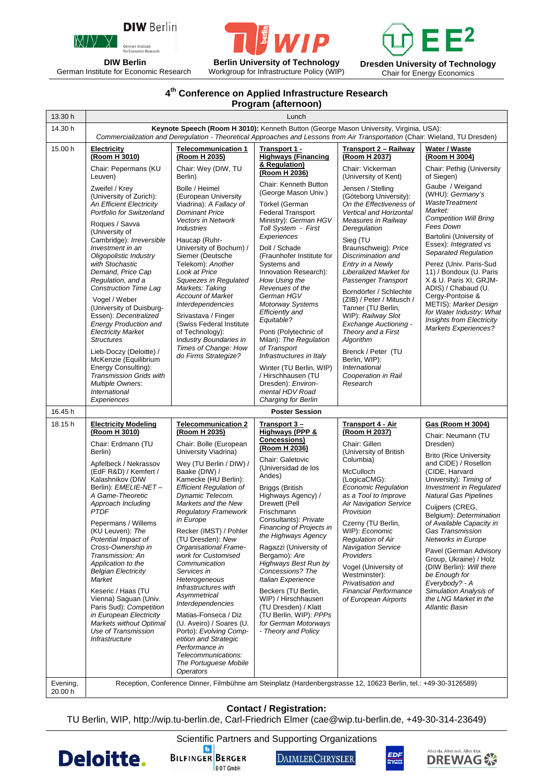

nic Research **DIW Berlin** 

WХ

German Institute for Economic Research



**Berlin University of Technology** Workgroup for Infrastructure Policy (WIP)



**4th Conference on Applied Infrastructure Research Program (afternoon)** 

| 13.30 h             | Lunch                                                                                                                                                                                                                                                                                                                                                                                                                                                                                                                                                                                                                                                |                                                                                                                                                                                                                                                                                                                                                                                                                                                                                                                                                                                                                                                                                         |                                                                                                                                                                                                                                                                                                                                                                                                                                                                                                                                                                                |                                                                                                                                                                                                                                                                                                                                                                                                                                                                                                                                                        |                                                                                                                                                                                                                                                                                                                                                                                                                                                                                                                                                      |  |  |
|---------------------|------------------------------------------------------------------------------------------------------------------------------------------------------------------------------------------------------------------------------------------------------------------------------------------------------------------------------------------------------------------------------------------------------------------------------------------------------------------------------------------------------------------------------------------------------------------------------------------------------------------------------------------------------|-----------------------------------------------------------------------------------------------------------------------------------------------------------------------------------------------------------------------------------------------------------------------------------------------------------------------------------------------------------------------------------------------------------------------------------------------------------------------------------------------------------------------------------------------------------------------------------------------------------------------------------------------------------------------------------------|--------------------------------------------------------------------------------------------------------------------------------------------------------------------------------------------------------------------------------------------------------------------------------------------------------------------------------------------------------------------------------------------------------------------------------------------------------------------------------------------------------------------------------------------------------------------------------|--------------------------------------------------------------------------------------------------------------------------------------------------------------------------------------------------------------------------------------------------------------------------------------------------------------------------------------------------------------------------------------------------------------------------------------------------------------------------------------------------------------------------------------------------------|------------------------------------------------------------------------------------------------------------------------------------------------------------------------------------------------------------------------------------------------------------------------------------------------------------------------------------------------------------------------------------------------------------------------------------------------------------------------------------------------------------------------------------------------------|--|--|
| 14.30 h             | Keynote Speech (Room H 3010): Kenneth Button (George Mason University, Virginia, USA):                                                                                                                                                                                                                                                                                                                                                                                                                                                                                                                                                               |                                                                                                                                                                                                                                                                                                                                                                                                                                                                                                                                                                                                                                                                                         |                                                                                                                                                                                                                                                                                                                                                                                                                                                                                                                                                                                |                                                                                                                                                                                                                                                                                                                                                                                                                                                                                                                                                        |                                                                                                                                                                                                                                                                                                                                                                                                                                                                                                                                                      |  |  |
|                     | Commercialization and Deregulation - Theoretical Approaches and Lessons from Air Transportation (Chair: Wieland, TU Dresden)                                                                                                                                                                                                                                                                                                                                                                                                                                                                                                                         |                                                                                                                                                                                                                                                                                                                                                                                                                                                                                                                                                                                                                                                                                         |                                                                                                                                                                                                                                                                                                                                                                                                                                                                                                                                                                                |                                                                                                                                                                                                                                                                                                                                                                                                                                                                                                                                                        |                                                                                                                                                                                                                                                                                                                                                                                                                                                                                                                                                      |  |  |
| 15.00 h             | <b>Electricity</b><br>(Room H 3010)                                                                                                                                                                                                                                                                                                                                                                                                                                                                                                                                                                                                                  | <b>Telecommunication 1</b><br>(Room H 2035)                                                                                                                                                                                                                                                                                                                                                                                                                                                                                                                                                                                                                                             | Transport 1 -<br><b>Highways (Financing</b>                                                                                                                                                                                                                                                                                                                                                                                                                                                                                                                                    | <b>Transport 2 - Railway</b><br>(Room H 2037)                                                                                                                                                                                                                                                                                                                                                                                                                                                                                                          | Water / Waste<br>(Room H 3004)                                                                                                                                                                                                                                                                                                                                                                                                                                                                                                                       |  |  |
|                     | Chair: Pepermans (KU<br>Leuven)                                                                                                                                                                                                                                                                                                                                                                                                                                                                                                                                                                                                                      | Chair: Wey (DIW, TU<br>Berlin)                                                                                                                                                                                                                                                                                                                                                                                                                                                                                                                                                                                                                                                          | & Regulation)<br>(Room H 2036)                                                                                                                                                                                                                                                                                                                                                                                                                                                                                                                                                 | Chair: Vickerman<br>(University of Kent)                                                                                                                                                                                                                                                                                                                                                                                                                                                                                                               | Chair: Pethig (University<br>of Siegen)                                                                                                                                                                                                                                                                                                                                                                                                                                                                                                              |  |  |
|                     | Zweifel / Krey<br>(University of Zurich):<br><b>An Efficient Electricity</b><br>Portfolio for Switzerland<br>Roques / Savva<br>(University of<br>Cambridge): Irreversible<br>Investment in an<br>Oligopolistic Industry<br>with Stochastic<br>Demand, Price Cap<br>Regulation, and a<br><b>Construction Time Lag</b><br>Vogel / Weber<br>(University of Duisburg-<br>Essen): Decentralized<br><b>Energy Production and</b><br><b>Electricity Market</b><br><b>Structures</b><br>Lieb-Doczy (Deloitte) /<br>McKenzie (Equilibrium<br>Energy Consulting):<br><b>Transmission Grids with</b><br><b>Multiple Owners:</b><br>International<br>Experiences | Bolle / Heimel<br>(European University<br>Viadrina): A Fallacy of<br><b>Dominant Price</b><br><b>Vectors in Network</b><br><b>Industries</b><br>Haucap (Ruhr-<br>University of Bochum) /<br>Siemer (Deutsche<br>Telekom): Another<br>Look at Price<br>Squeezes in Regulated<br>Markets: Taking<br><b>Account of Market</b><br>Interdependencies<br>Srivastava / Finger<br>(Swiss Federal Institute<br>of Technology):<br>Industry Boundaries in<br>Times of Change: How<br>do Firms Strategize?                                                                                                                                                                                         | Chair: Kenneth Button<br>(George Mason Univ.)<br>Törkel (German<br><b>Federal Transport</b><br>Ministry): German HGV<br>Toll System - First<br>Experiences<br>Doll / Schade<br>(Fraunhofer Institute for<br>Systems and<br>Innovation Research):<br>How Using the<br>Revenues of the<br>German HGV<br><b>Motorway Systems</b><br>Efficiently and<br>Equitable?<br>Ponti (Polytechnic of<br>Milan): The Regulation<br>of Transport<br>Infrastructures in Italy<br>Winter (TU Berlin, WIP)<br>/ Hirschhausen (TU<br>Dresden): Environ-<br>mental HDV Road<br>Charging for Berlin | Jensen / Stelling<br>(Göteborg University):<br>On the Effectiveness of<br><b>Vertical and Horizontal</b><br>Measures in Railway<br>Deregulation<br>Sieg (TU<br>Braunschweig): Price<br>Discrimination and<br>Entry in a Newly<br><b>Liberalized Market for</b><br>Passenger Transport<br>Borndörfer / Schlechte<br>(ZIB) / Peter / Mitusch /<br>Tanner (TU Berlin,<br>WIP): Railway Slot<br><b>Exchange Auctioning -</b><br>Theory and a First<br>Algorithm<br>Brenck / Peter (TU<br>Berlin, WIP):<br>International<br>Cooperation in Rail<br>Research | Gaube / Weigand<br>(WHU): Germany's<br><b>WasteTreatment</b><br>Market:<br><b>Competition Will Bring</b><br>Fees Down<br>Bartolini (University of<br>Essex): Integrated vs<br>Separated Regulation<br>Perez (Univ. Paris-Sud<br>11) / Bondoux (U. Paris<br>X & U. Paris XI, GRJM-<br>ADIS) / Chabaud (U.<br>Cergy-Pontoise &<br>METIS): Market Design<br>for Water Industry: What<br><b>Insights from Electricity</b><br><b>Markets Experiences?</b>                                                                                                 |  |  |
| 16.45 h             |                                                                                                                                                                                                                                                                                                                                                                                                                                                                                                                                                                                                                                                      |                                                                                                                                                                                                                                                                                                                                                                                                                                                                                                                                                                                                                                                                                         | <b>Poster Session</b>                                                                                                                                                                                                                                                                                                                                                                                                                                                                                                                                                          |                                                                                                                                                                                                                                                                                                                                                                                                                                                                                                                                                        |                                                                                                                                                                                                                                                                                                                                                                                                                                                                                                                                                      |  |  |
| 18.15h              | <b>Electricity Modeling</b><br>(Room H 3010)<br>Chair: Erdmann (TU<br>Berlin)<br>Apfelbeck / Nekrassov<br>(EdF R&D) / Kemfert /<br>Kalashnikov (DIW<br>Berlin): EMELIE-NET-<br>A Game-Theoretic<br>Approach Including<br><b>PTDF</b><br>Pepermans / Willems<br>(KU Leuven): The<br>Potential Impact of<br>Cross-Ownership in<br>Transmission: An<br>Application to the<br><b>Belgian Electricity</b><br>Market<br>Keseric / Haas (TU<br>Vienna) Saguan (Univ.<br>Paris Sud): Competition<br>in European Electricity<br><b>Markets without Optimal</b><br>Use of Transmission<br>Infrastructure                                                       | <b>Telecommunication 2</b><br>(Room H 2035)<br>Chair: Bolle (European<br>University Viadrina)<br>Wey (TU Berlin / DIW) /<br>Baake (DIW) /<br>Kamecke (HU Berlin):<br><b>Efficient Regulation of</b><br>Dynamic Telecom.<br>Markets and the New<br><b>Regulatory Framework</b><br>in Europe<br>Recker (IMST) / Pohler<br>(TU Dresden): New<br><b>Organisational Frame-</b><br>work for Customised<br>Communication<br>Services in<br>Heterogeneous<br>Infrastructures with<br>Asymmetrical<br>Interdependencies<br>Matias-Fonseca / Diz<br>(U. Aveiro) / Soares (U.<br>Porto): Evolving Comp-<br>etition and Strategic<br>Performance in<br>Telecommunications:<br>The Portuguese Mobile | Transport 3-<br><b>Highways (PPP &amp;</b><br>Concessions)<br>(Room H 2036)<br>Chair: Galetovic<br>(Universidad de los<br>Andes)<br><b>Briggs (British</b><br>Highways Agency) /<br>Drewett (Pell<br>Frischmann<br>Consultants): Private<br>Financing of Projects in<br>the Highways Agency<br>Ragazzi (University of<br>Bergamo): Are<br>Highways Best Run by<br>Concessions? The<br>Italian Experience<br>Beckers (TU Berlin,<br>WIP) / Hirschhausen<br>(TU Dresden) / Klatt<br>(TU Berlin, WIP): PPPs<br>for German Motorways<br>- Theory and Policy                        | <b>Transport 4 - Air</b><br>(Room H 2037)<br>Chair: Gillen<br>(University of British<br>Columbia)<br>McCulloch<br>(LogicaCMG):<br><b>Economic Regulation</b><br>as a Tool to Improve<br><b>Air Navigation Service</b><br>Provision<br>Czerny (TU Berlin,<br>WIP): Economic<br><b>Regulation of Air</b><br><b>Navigation Service</b><br>Providers<br>Vogel (University of<br>Westminster):<br>Privatisation and<br><b>Financial Performance</b><br>of European Airports                                                                                 | <b>Gas (Room H 3004)</b><br>Chair: Neumann (TU<br>Dresden)<br><b>Brito (Rice University</b><br>and CIDE) / Rosellon<br>(CIDE, Harvard<br>University): Timing of<br>Investment in Regulated<br><b>Natural Gas Pipelines</b><br>Cuijpers (CREG,<br>Belgium): Determination<br>of Available Capacity in<br><b>Gas Transmission</b><br><b>Networks in Europe</b><br>Pavel (German Advisory<br>Group, Ukraine) / Holz<br>(DIW Berlin): Will there<br>be Enough for<br>Everybody? - A<br>Simulation Analysis of<br>the LNG Market in the<br>Atlantic Basin |  |  |
| Evening,<br>20.00 h | Operators<br>Reception, Conference Dinner, Filmbühne am Steinplatz (Hardenbergstrasse 12, 10623 Berlin, tel.: +49-30-3126589)                                                                                                                                                                                                                                                                                                                                                                                                                                                                                                                        |                                                                                                                                                                                                                                                                                                                                                                                                                                                                                                                                                                                                                                                                                         |                                                                                                                                                                                                                                                                                                                                                                                                                                                                                                                                                                                |                                                                                                                                                                                                                                                                                                                                                                                                                                                                                                                                                        |                                                                                                                                                                                                                                                                                                                                                                                                                                                                                                                                                      |  |  |

# **Contact / Registration:**

TU Berlin, WIP, http://wip.tu-berlin.de, Carl-Friedrich Elmer (cae@wip.tu-berlin.de, +49-30-314-23649)



**BILFINGER BERGER BOT GmbH** 

Scientific Partners and Supporting Organizations **DAIMLERCHRYSLER** 



Alles da. Alles nah. Alles klar.

**DREWAG ※**